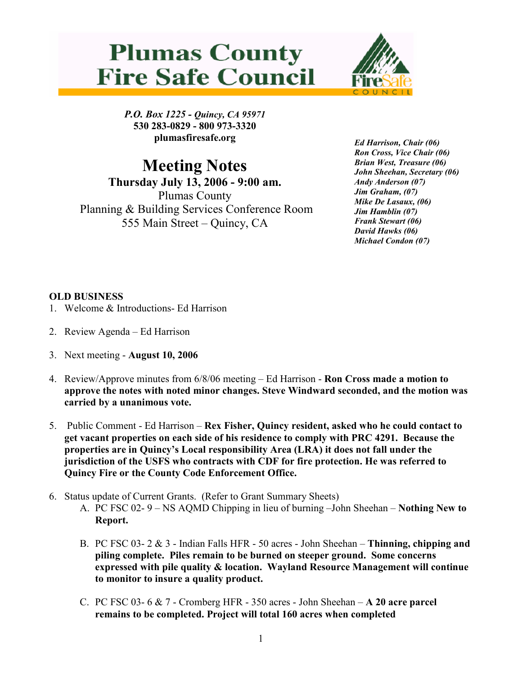## **Plumas County Fire Safe Council**



P.O. Box 1225 - Quincy, CA 95971 530 283-0829 - 800 973-3320 plumasfiresafe.org

Meeting Notes Thursday July 13, 2006 - 9:00 am. Plumas County Planning & Building Services Conference Room 555 Main Street – Quincy, CA

Ed Harrison, Chair (06) Ron Cross, Vice Chair (06) Brian West, Treasure (06) John Sheehan, Secretary (06) Andy Anderson (07) Jim Graham, (07) Mike De Lasaux, (06) Jim Hamblin (07) Frank Stewart (06) David Hawks (06) Michael Condon (07)

## OLD BUSINESS

- 1. Welcome & Introductions- Ed Harrison
- 2. Review Agenda Ed Harrison
- 3. Next meeting August 10, 2006
- 4. Review/Approve minutes from 6/8/06 meeting Ed Harrison Ron Cross made a motion to approve the notes with noted minor changes. Steve Windward seconded, and the motion was carried by a unanimous vote.
- 5. Public Comment Ed Harrison Rex Fisher, Quincy resident, asked who he could contact to get vacant properties on each side of his residence to comply with PRC 4291. Because the properties are in Quincy's Local responsibility Area (LRA) it does not fall under the jurisdiction of the USFS who contracts with CDF for fire protection. He was referred to Quincy Fire or the County Code Enforcement Office.
- 6. Status update of Current Grants. (Refer to Grant Summary Sheets)
	- A. PC FSC 02- 9 NS AQMD Chipping in lieu of burning –John Sheehan Nothing New to Report.
	- B. PC FSC 03- 2 & 3 Indian Falls HFR 50 acres John Sheehan Thinning, chipping and piling complete. Piles remain to be burned on steeper ground. Some concerns expressed with pile quality & location. Wayland Resource Management will continue to monitor to insure a quality product.
	- C. PC FSC 03- 6  $\&$  7 Cromberg HFR 350 acres John Sheehan  $-$  A 20 acre parcel remains to be completed. Project will total 160 acres when completed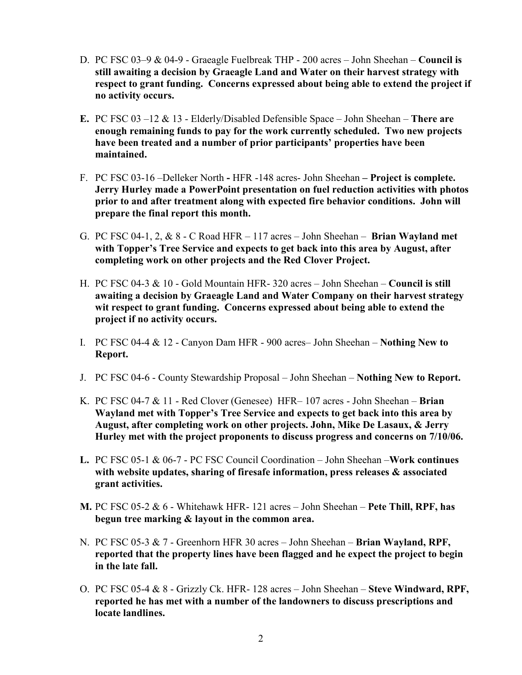- D. PC FSC 03–9 & 04-9 Graeagle Fuelbreak THP 200 acres John Sheehan Council is still awaiting a decision by Graeagle Land and Water on their harvest strategy with respect to grant funding. Concerns expressed about being able to extend the project if no activity occurs.
- E. PC FSC 03 –12  $& 13$  Elderly/Disabled Defensible Space John Sheehan There are enough remaining funds to pay for the work currently scheduled. Two new projects have been treated and a number of prior participants' properties have been maintained.
- F. PC FSC 03-16 –Delleker North HFR -148 acres- John Sheehan Project is complete. Jerry Hurley made a PowerPoint presentation on fuel reduction activities with photos prior to and after treatment along with expected fire behavior conditions. John will prepare the final report this month.
- G. PC FSC 04-1, 2,  $\&$  8 C Road HFR 117 acres John Sheehan **Brian Wayland met** with Topper's Tree Service and expects to get back into this area by August, after completing work on other projects and the Red Clover Project.
- H. PC FSC 04-3 & 10 Gold Mountain HFR- 320 acres John Sheehan Council is still awaiting a decision by Graeagle Land and Water Company on their harvest strategy wit respect to grant funding. Concerns expressed about being able to extend the project if no activity occurs.
- I. PC FSC 04-4  $& 12$  Canyon Dam HFR 900 acres– John Sheehan Nothing New to Report.
- J. PC FSC 04-6 County Stewardship Proposal John Sheehan Nothing New to Report.
- K. PC FSC 04-7 & 11 Red Clover (Genesee) HFR– 107 acres John Sheehan **Brian** Wayland met with Topper's Tree Service and expects to get back into this area by August, after completing work on other projects. John, Mike De Lasaux, & Jerry Hurley met with the project proponents to discuss progress and concerns on 7/10/06.
- L. PC FSC 05-1 & 06-7 PC FSC Council Coordination John Sheehan –Work continues with website updates, sharing of firesafe information, press releases  $\&$  associated grant activities.
- **M.** PC FSC 05-2  $\&$  6 Whitehawk HFR- 121 acres John Sheehan Pete Thill, RPF, has begun tree marking & layout in the common area.
- N. PC FSC 05-3  $\& 7$  Greenhorn HFR 30 acres John Sheehan **Brian Wayland, RPF,** reported that the property lines have been flagged and he expect the project to begin in the late fall.
- O. PC FSC 05-4 & 8 Grizzly Ck. HFR- 128 acres John Sheehan Steve Windward, RPF, reported he has met with a number of the landowners to discuss prescriptions and locate landlines.